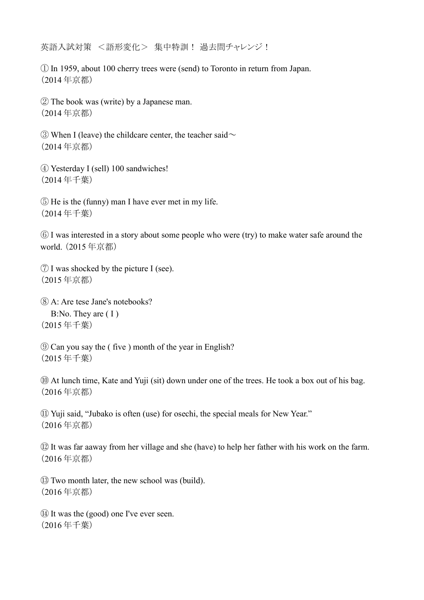英語入試対策 <語形変化> 集中特訓! 過去問チャレンジ!

① In 1959, about 100 cherry trees were (send) to Toronto in return from Japan. (2014 年京都)

② The book was (write) by a Japanese man. (2014 年京都)

 $\circled{3}$  When I (leave) the childcare center, the teacher said  $\sim$ (2014 年京都)

④ Yesterday I (sell) 100 sandwiches! (2014 年千葉)

⑤ He is the (funny) man I have ever met in my life. (2014 年千葉)

⑥ I was interested in a story about some people who were (try) to make water safe around the world. (2015 年京都)

⑦ I was shocked by the picture I (see). (2015 年京都)

⑧ A: Are tese Jane's notebooks? B:No. They are ( I ) (2015 年千葉)

⑨ Can you say the ( five ) month of the year in English? (2015 年千葉)

⑩ At lunch time, Kate and Yuji (sit) down under one of the trees. He took a box out of his bag. (2016 年京都)

⑪ Yuji said, "Jubako is often (use) for osechi, the special meals for New Year." (2016 年京都)

⑫ It was far aaway from her village and she (have) to help her father with his work on the farm. (2016 年京都)

⑬ Two month later, the new school was (build). (2016 年京都)

⑭ It was the (good) one I've ever seen. (2016 年千葉)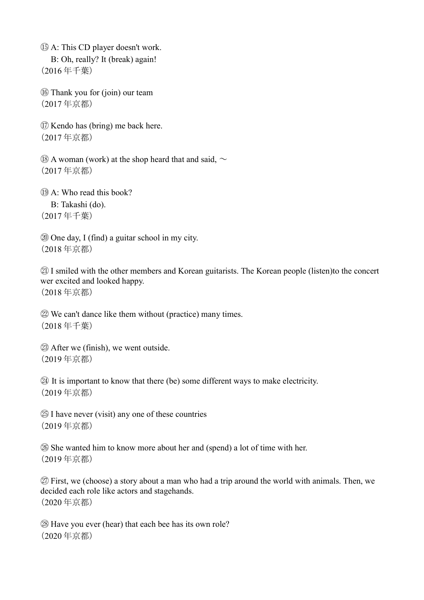⑮ A: This CD player doesn't work. B: Oh, really? It (break) again! (2016 年千葉)

⑯ Thank you for (join) our team (2017 年京都)

⑰ Kendo has (bring) me back here. (2017 年京都)

 $\Omega$  A woman (work) at the shop heard that and said,  $\sim$ (2017 年京都)

⑲ A: Who read this book?

 B: Takashi (do). (2017 年千葉)

⑳ One day, I (find) a guitar school in my city. (2018 年京都)

㉑ I smiled with the other members and Korean guitarists. The Korean people (listen)to the concert wer excited and looked happy.

(2018 年京都)

㉒ We can't dance like them without (practice) many times. (2018 年千葉)

㉓ After we (finish), we went outside. (2019 年京都)

㉔ It is important to know that there (be) some different ways to make electricity. (2019 年京都)

㉕ I have never (visit) any one of these countries (2019 年京都)

㉖ She wanted him to know more about her and (spend) a lot of time with her. (2019 年京都)

㉗ First, we (choose) a story about a man who had a trip around the world with animals. Then, we decided each role like actors and stagehands. (2020 年京都)

㉘ Have you ever (hear) that each bee has its own role? (2020 年京都)